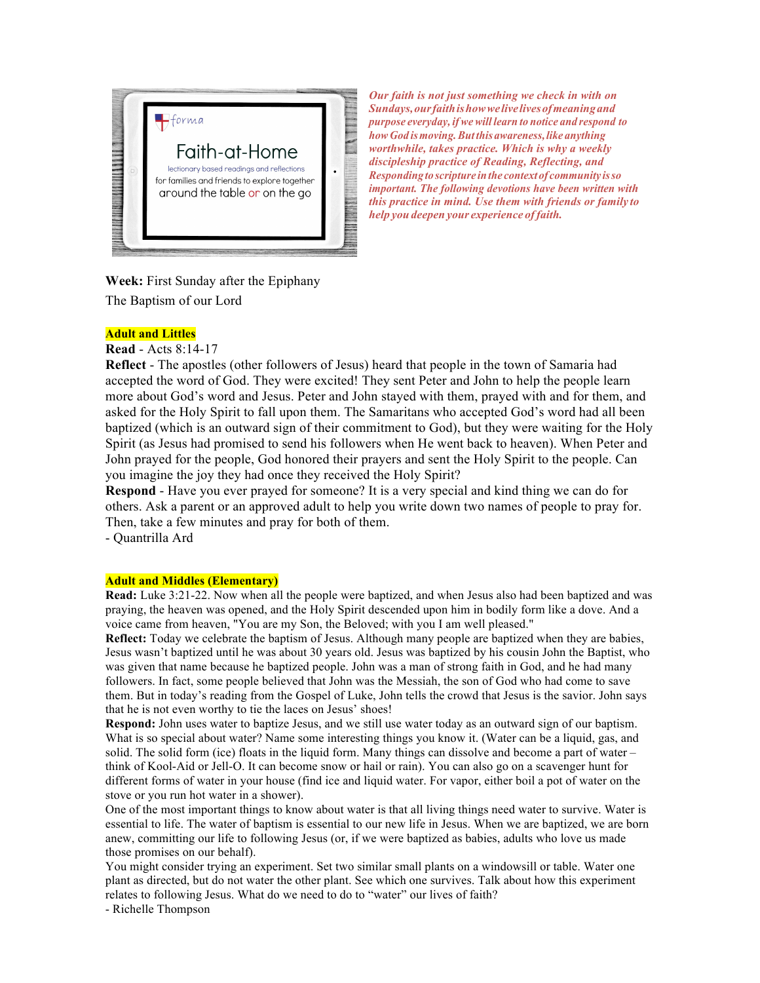

*Our faith is not just something we check in with on Sundays,ourfaithishowwelivelivesofmeaningand purpose everyday, ifwewill learn to notice and respond to how God ismoving.Butthis awareness,like anything worthwhile, takes practice. Which is why a weekly discipleship practice of Reading, Reflecting, and Responding to scripture inthe context of community isso important. The following devotions have been written with this practice in mind. Use them with friends or family to help you deepen your experience offaith.*

**Week:** First Sunday after the Epiphany The Baptism of our Lord

# **Adult and Littles**

**Read** - Acts 8:14-17

**Reflect** - The apostles (other followers of Jesus) heard that people in the town of Samaria had accepted the word of God. They were excited! They sent Peter and John to help the people learn more about God's word and Jesus. Peter and John stayed with them, prayed with and for them, and asked for the Holy Spirit to fall upon them. The Samaritans who accepted God's word had all been baptized (which is an outward sign of their commitment to God), but they were waiting for the Holy Spirit (as Jesus had promised to send his followers when He went back to heaven). When Peter and John prayed for the people, God honored their prayers and sent the Holy Spirit to the people. Can you imagine the joy they had once they received the Holy Spirit?

**Respond** - Have you ever prayed for someone? It is a very special and kind thing we can do for others. Ask a parent or an approved adult to help you write down two names of people to pray for. Then, take a few minutes and pray for both of them.

- Quantrilla Ard

## **Adult and Middles (Elementary)**

**Read:** Luke 3:21-22. Now when all the people were baptized, and when Jesus also had been baptized and was praying, the heaven was opened, and the Holy Spirit descended upon him in bodily form like a dove. And a voice came from heaven, "You are my Son, the Beloved; with you I am well pleased."

**Reflect:** Today we celebrate the baptism of Jesus. Although many people are baptized when they are babies, Jesus wasn't baptized until he was about 30 years old. Jesus was baptized by his cousin John the Baptist, who was given that name because he baptized people. John was a man of strong faith in God, and he had many followers. In fact, some people believed that John was the Messiah, the son of God who had come to save them. But in today's reading from the Gospel of Luke, John tells the crowd that Jesus is the savior. John says that he is not even worthy to tie the laces on Jesus' shoes!

**Respond:** John uses water to baptize Jesus, and we still use water today as an outward sign of our baptism. What is so special about water? Name some interesting things you know it. (Water can be a liquid, gas, and solid. The solid form (ice) floats in the liquid form. Many things can dissolve and become a part of water – think of Kool-Aid or Jell-O. It can become snow or hail or rain). You can also go on a scavenger hunt for different forms of water in your house (find ice and liquid water. For vapor, either boil a pot of water on the stove or you run hot water in a shower).

One of the most important things to know about water is that all living things need water to survive. Water is essential to life. The water of baptism is essential to our new life in Jesus. When we are baptized, we are born anew, committing our life to following Jesus (or, if we were baptized as babies, adults who love us made those promises on our behalf).

You might consider trying an experiment. Set two similar small plants on a windowsill or table. Water one plant as directed, but do not water the other plant. See which one survives. Talk about how this experiment relates to following Jesus. What do we need to do to "water" our lives of faith?

- Richelle Thompson